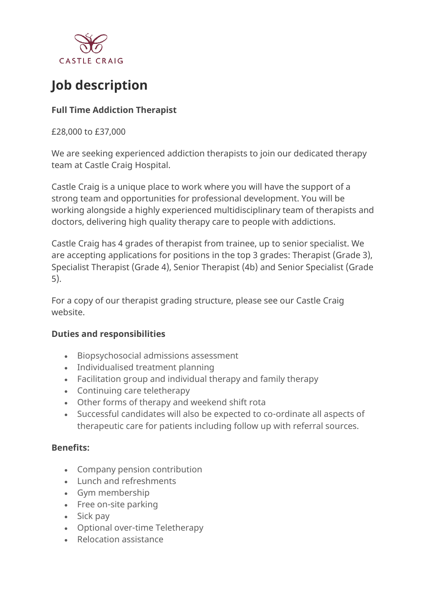

# **Job description**

## **Full Time Addiction Therapist**

£28,000 to £37,000

We are seeking experienced addiction therapists to join our dedicated therapy team at Castle Craig Hospital.

Castle Craig is a unique place to work where you will have the support of a strong team and opportunities for professional development. You will be working alongside a highly experienced multidisciplinary team of therapists and doctors, delivering high quality therapy care to people with addictions.

Castle Craig has 4 grades of therapist from trainee, up to senior specialist. We are accepting applications for positions in the top 3 grades: Therapist (Grade 3), Specialist Therapist (Grade 4), Senior Therapist (4b) and Senior Specialist (Grade 5).

For a copy of our therapist grading structure, please see our Castle Craig website.

#### **Duties and responsibilities**

- Biopsychosocial admissions assessment
- Individualised treatment planning
- Facilitation group and individual therapy and family therapy
- Continuing care teletherapy
- Other forms of therapy and weekend shift rota
- Successful candidates will also be expected to co-ordinate all aspects of therapeutic care for patients including follow up with referral sources.

#### **Benefits:**

- Company pension contribution
- Lunch and refreshments
- Gym membership
- Free on-site parking
- Sick pay
- Optional over-time Teletherapy
- Relocation assistance